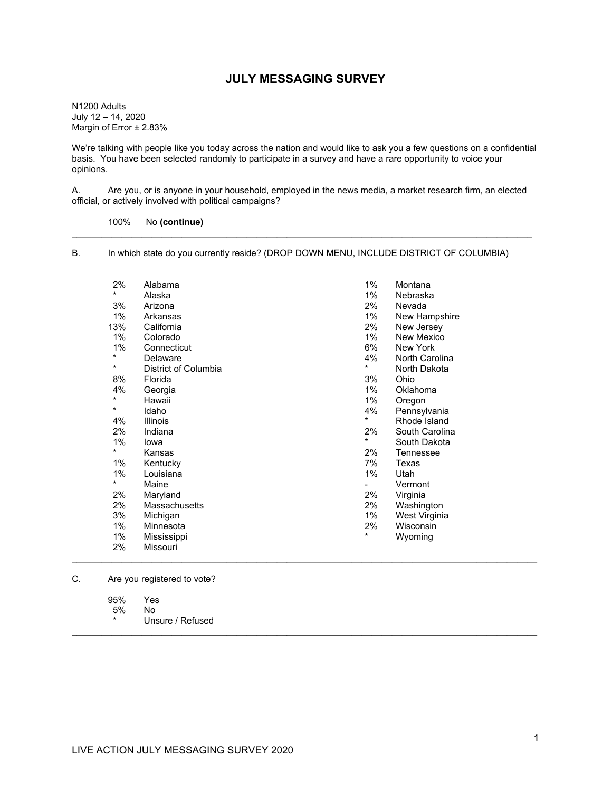### **JULY MESSAGING SURVEY**

N1200 Adults July 12 – 14, 2020 Margin of Error ± 2.83%

We're talking with people like you today across the nation and would like to ask you a few questions on a confidential basis. You have been selected randomly to participate in a survey and have a rare opportunity to voice your opinions.

A. Are you, or is anyone in your household, employed in the news media, a market research firm, an elected official, or actively involved with political campaigns?

\_\_\_\_\_\_\_\_\_\_\_\_\_\_\_\_\_\_\_\_\_\_\_\_\_\_\_\_\_\_\_\_\_\_\_\_\_\_\_\_\_\_\_\_\_\_\_\_\_\_\_\_\_\_\_\_\_\_\_\_\_\_\_\_\_\_\_\_\_\_\_\_\_\_\_\_\_\_\_\_\_\_\_\_\_\_\_\_\_\_\_\_

100% No **(continue)**

B. In which state do you currently reside? (DROP DOWN MENU, INCLUDE DISTRICT OF COLUMBIA)

| 2%       | Alabama              | 1%      | Montana        |
|----------|----------------------|---------|----------------|
| *        | Alaska               | 1%      | Nebraska       |
| 3%       | Arizona              | 2%      | Nevada         |
| 1%       | Arkansas             | 1%      | New Hampshire  |
| 13%      | California           | 2%      | New Jersey     |
| 1%       | Colorado             | 1%      | New Mexico     |
| 1%       | Connecticut          | 6%      | New York       |
| *        | Delaware             | 4%      | North Carolina |
| $^\star$ | District of Columbia | *       | North Dakota   |
| 8%       | Florida              | 3%      | Ohio           |
| 4%       | Georgia              | 1%      | Oklahoma       |
| $\star$  | Hawaii               | 1%      | Oregon         |
| $\star$  | Idaho                | 4%      | Pennsylvania   |
| 4%       | Illinois             | *       | Rhode Island   |
| 2%       | Indiana              | 2%      | South Carolina |
| 1%       | lowa                 | *       | South Dakota   |
| *        | Kansas               | 2%      | Tennessee      |
| 1%       | Kentucky             | 7%      | Texas          |
| 1%       | Louisiana            | 1%      | Utah           |
| $\star$  | Maine                |         | Vermont        |
| 2%       | Maryland             | 2%      | Virginia       |
| 2%       | Massachusetts        | 2%      | Washington     |
| 3%       | Michigan             | 1%      | West Virginia  |
| 1%       | Minnesota            | 2%      | Wisconsin      |
| 1%       | Mississippi          | $\star$ | Wyoming        |
| 2%       | Missouri             |         |                |

\_\_\_\_\_\_\_\_\_\_\_\_\_\_\_\_\_\_\_\_\_\_\_\_\_\_\_\_\_\_\_\_\_\_\_\_\_\_\_\_\_\_\_\_\_\_\_\_\_\_\_\_\_\_\_\_\_\_\_\_\_\_\_\_\_\_\_\_\_\_\_\_\_\_\_\_\_\_\_\_\_\_\_\_\_\_\_\_\_\_\_\_\_

\_\_\_\_\_\_\_\_\_\_\_\_\_\_\_\_\_\_\_\_\_\_\_\_\_\_\_\_\_\_\_\_\_\_\_\_\_\_\_\_\_\_\_\_\_\_\_\_\_\_\_\_\_\_\_\_\_\_\_\_\_\_\_\_\_\_\_\_\_\_\_\_\_\_\_\_\_\_\_\_\_\_\_\_\_\_\_\_\_\_\_\_\_

C. Are you registered to vote?

95% Yes

 $5\%$ 

Unsure / Refused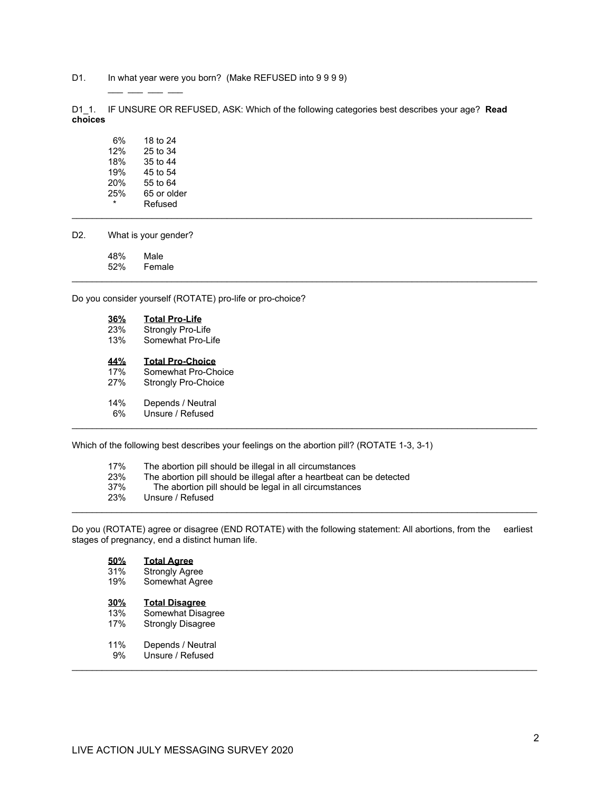D1. In what year were you born? (Make REFUSED into 9 9 9 9)

D1\_1. IF UNSURE OR REFUSED, ASK: Which of the following categories best describes your age? **Read choices**

\_\_\_\_\_\_\_\_\_\_\_\_\_\_\_\_\_\_\_\_\_\_\_\_\_\_\_\_\_\_\_\_\_\_\_\_\_\_\_\_\_\_\_\_\_\_\_\_\_\_\_\_\_\_\_\_\_\_\_\_\_\_\_\_\_\_\_\_\_\_\_\_\_\_\_\_\_\_\_\_\_\_\_\_\_\_\_\_\_\_\_\_\_

6% 18 to 24<br>12% 25 to 34 12% 25 to 34<br>18% 35 to 44 35 to 44 19% 45 to 54<br>20% 55 to 64 20% 55 to 64<br>25% 65 or old 65 or older \* Refused \_\_\_\_\_\_\_\_\_\_\_\_\_\_\_\_\_\_\_\_\_\_\_\_\_\_\_\_\_\_\_\_\_\_\_\_\_\_\_\_\_\_\_\_\_\_\_\_\_\_\_\_\_\_\_\_\_\_\_\_\_\_\_\_\_\_\_\_\_\_\_\_\_\_\_\_\_\_\_\_\_\_\_\_\_\_\_\_\_\_\_\_

 $\_\_$   $\_\_$ 

D2. What is your gender?

48% Male 52% Female

Do you consider yourself (ROTATE) pro-life or pro-choice?

**36% Total Pro-Life** 23% Strongly Pro-Life<br>13% Somewhat Pro-Li Somewhat Pro-Life **44% Total Pro-Choice** 17% Somewhat Pro-Choice 27% Strongly Pro-Choice 14% Depends / Neutral 6% Unsure / Refused \_\_\_\_\_\_\_\_\_\_\_\_\_\_\_\_\_\_\_\_\_\_\_\_\_\_\_\_\_\_\_\_\_\_\_\_\_\_\_\_\_\_\_\_\_\_\_\_\_\_\_\_\_\_\_\_\_\_\_\_\_\_\_\_\_\_\_\_\_\_\_\_\_\_\_\_\_\_\_\_\_\_\_\_\_\_\_\_\_\_\_\_\_

Which of the following best describes your feelings on the abortion pill? (ROTATE 1-3, 3-1)

| 17%   | The abortion pill should be illegal in all circumstances     |
|-------|--------------------------------------------------------------|
| 0.001 | The chestics will chesild be illeged effecte becaushed the a |

- 23% The abortion pill should be illegal after a heartbeat can be detected
- 37% The abortion pill should be legal in all circumstances<br>23% Unsure / Refused Unsure / Refused
- \_\_\_\_\_\_\_\_\_\_\_\_\_\_\_\_\_\_\_\_\_\_\_\_\_\_\_\_\_\_\_\_\_\_\_\_\_\_\_\_\_\_\_\_\_\_\_\_\_\_\_\_\_\_\_\_\_\_\_\_\_\_\_\_\_\_\_\_\_\_\_\_\_\_\_\_\_\_\_\_\_\_\_\_\_\_\_\_\_\_\_\_\_

Do you (ROTATE) agree or disagree (END ROTATE) with the following statement: All abortions, from the earliest stages of pregnancy, end a distinct human life.

| 50%   | <b>Total Agree</b>                                                                                                                                                                                                                                                                                                                                                                                                                                                  |
|-------|---------------------------------------------------------------------------------------------------------------------------------------------------------------------------------------------------------------------------------------------------------------------------------------------------------------------------------------------------------------------------------------------------------------------------------------------------------------------|
| 0.401 | $\bigcap_{x \in \mathcal{X}} \mathcal{L}(x) = \bigcup_{x \in \mathcal{X}} \mathcal{L}(x) = \bigcup_{x \in \mathcal{X}} \mathcal{L}(x) = \bigcup_{x \in \mathcal{X}} \mathcal{L}(x) = \bigcup_{x \in \mathcal{X}} \mathcal{L}(x) = \bigcup_{x \in \mathcal{X}} \mathcal{L}(x) = \bigcup_{x \in \mathcal{X}} \mathcal{L}(x) = \bigcup_{x \in \mathcal{X}} \mathcal{L}(x) = \bigcup_{x \in \mathcal{X}} \mathcal{L}(x) = \bigcup_{x \in \mathcal{X}} \mathcal{L}(x) =$ |

 31% Strongly Agree 19% Somewhat Agree

- **30% Total Disagree** 13% Somewhat Disagree<br>17% Strongly Disagree Strongly Disagree
- 11% Depends / Neutral<br>9% Unsure / Refused
- Unsure / Refused \_\_\_\_\_\_\_\_\_\_\_\_\_\_\_\_\_\_\_\_\_\_\_\_\_\_\_\_\_\_\_\_\_\_\_\_\_\_\_\_\_\_\_\_\_\_\_\_\_\_\_\_\_\_\_\_\_\_\_\_\_\_\_\_\_\_\_\_\_\_\_\_\_\_\_\_\_\_\_\_\_\_\_\_\_\_\_\_\_\_\_\_\_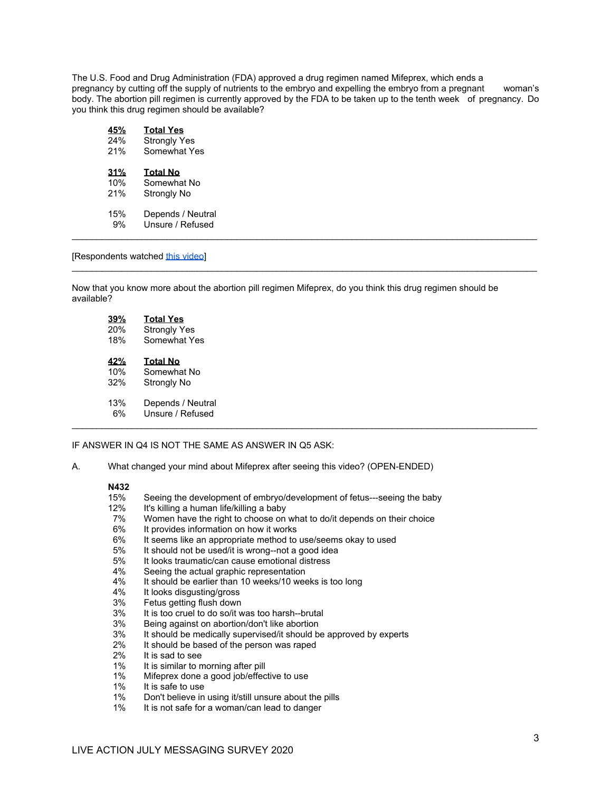The U.S. Food and Drug Administration (FDA) approved a drug regimen named Mifeprex, which ends a pregnancy by cutting off the supply of nutrients to the embryo and expelling the embryo from a pregnant woman's body. The abortion pill regimen is currently approved by the FDA to be taken up to the tenth week of pregnancy. Do you think this drug regimen should be available?

| 45% | <b>Total Yes</b>    |
|-----|---------------------|
| 24% | <b>Strongly Yes</b> |
| 21% | Somewhat Yes        |
| 31% | <b>Total No</b>     |
| 10% | Somewhat No         |
| 21% | Strongly No         |
| 15% | Depends / Neutral   |
| 9%  | Unsure / Refused    |

[Respondents watched [this video](https://www.youtube.com/watch?v=u-LJRPgQ5sQ&t)]

Now that you know more about the abortion pill regimen Mifeprex, do you think this drug regimen should be available?

\_\_\_\_\_\_\_\_\_\_\_\_\_\_\_\_\_\_\_\_\_\_\_\_\_\_\_\_\_\_\_\_\_\_\_\_\_\_\_\_\_\_\_\_\_\_\_\_\_\_\_\_\_\_\_\_\_\_\_\_\_\_\_\_\_\_\_\_\_\_\_\_\_\_\_\_\_\_\_\_\_\_\_\_\_\_\_\_\_\_\_\_\_

| 39% | <b>Total Yes</b>    |  |  |
|-----|---------------------|--|--|
| 20% | <b>Strongly Yes</b> |  |  |
| 18% | Somewhat Yes        |  |  |
| 42% | <b>Total No</b>     |  |  |
| 10% | Somewhat No         |  |  |
| 32% | Strongly No         |  |  |
| 13% | Depends / Neutral   |  |  |
| 6%  | Unsure / Refused    |  |  |
|     |                     |  |  |

#### IF ANSWER IN Q4 IS NOT THE SAME AS ANSWER IN Q5 ASK:

A. What changed your mind about Mifeprex after seeing this video? (OPEN-ENDED)

### **N432**<br>15%

- 15% Seeing the development of embryo/development of fetus---seeing the baby<br>12% It's killing a human life/killing a baby
- 12% It's killing a human life/killing a baby<br>12% Women have the right to choose on
- 7% Women have the right to choose on what to do/it depends on their choice 6% It provides information on how it works
- 6% It provides information on how it works
- 6% It seems like an appropriate method to use/seems okay to used<br>5% It should not be used/it is wrong--not a good idea
- 5% It should not be used/it is wrong--not a good idea<br>5% It looks traumatic/can cause emotional distress
- 5% It looks traumatic/can cause emotional distress<br>4% Seeing the actual graphic representation
- 4% Seeing the actual graphic representation<br>4% It should be earlier than 10 weeks/10 wee
- 4% It should be earlier than 10 weeks/10 weeks is too long<br>4% It looks disqusting/gross
- 4% It looks disgusting/gross<br>3% Fetus getting flush down
- 3% Fetus getting flush down<br>3% It is too cruel to do so/it w
- 3% It is too cruel to do so/it was too harsh--brutal
- 3% Being against on abortion/don't like abortion
- 3% It should be medically supervised/it should be approved by experts 2% It should be based of the person was raped
- $2\%$  It should be based of the person was raped  $2\%$  It is sad to see
- 2% It is sad to see<br>1% It is similar to m
- 1% It is similar to morning after pill<br>1% Mifeprex done a good iob/effec
- 1% Mifeprex done a good job/effective to use<br>1% It is safe to use
- It is safe to use
- 1% Don't believe in using it/still unsure about the pills
- 1% It is not safe for a woman/can lead to danger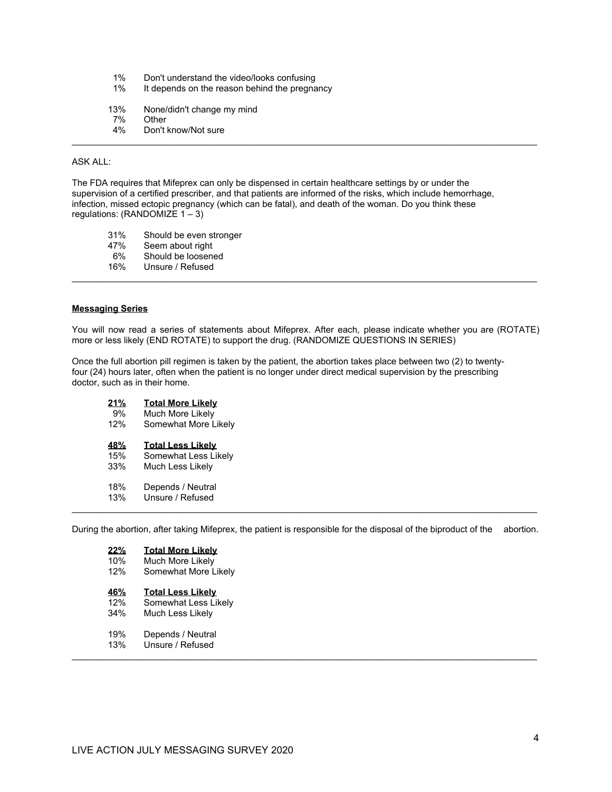- 1% Don't understand the video/looks confusing<br>1% It depends on the reason behind the pregna
- It depends on the reason behind the pregnancy
- 13% None/didn't change my mind<br>7% Other
- 7% Other<br>4% Don't
- Don't know/Not sure

#### ASK ALL:

The FDA requires that Mifeprex can only be dispensed in certain healthcare settings by or under the supervision of a certified prescriber, and that patients are informed of the risks, which include hemorrhage, infection, missed ectopic pregnancy (which can be fatal), and death of the woman. Do you think these regulations: (RANDOMIZE 1 – 3)

\_\_\_\_\_\_\_\_\_\_\_\_\_\_\_\_\_\_\_\_\_\_\_\_\_\_\_\_\_\_\_\_\_\_\_\_\_\_\_\_\_\_\_\_\_\_\_\_\_\_\_\_\_\_\_\_\_\_\_\_\_\_\_\_\_\_\_\_\_\_\_\_\_\_\_\_\_\_\_\_\_\_\_\_\_\_\_\_\_\_\_\_\_

- 31% Should be even stronger
- 47% Seem about right
- 6% Should be loosened
- 16% Unsure / Refused

#### **Messaging Series**

You will now read a series of statements about Mifeprex. After each, please indicate whether you are (ROTATE) more or less likely (END ROTATE) to support the drug. (RANDOMIZE QUESTIONS IN SERIES)

\_\_\_\_\_\_\_\_\_\_\_\_\_\_\_\_\_\_\_\_\_\_\_\_\_\_\_\_\_\_\_\_\_\_\_\_\_\_\_\_\_\_\_\_\_\_\_\_\_\_\_\_\_\_\_\_\_\_\_\_\_\_\_\_\_\_\_\_\_\_\_\_\_\_\_\_\_\_\_\_\_\_\_\_\_\_\_\_\_\_\_\_\_

Once the full abortion pill regimen is taken by the patient, the abortion takes place between two (2) to twentyfour (24) hours later, often when the patient is no longer under direct medical supervision by the prescribing doctor, such as in their home.

**21% Total More Likely** 9% Much More Likely<br>12% Somewhat More Li Somewhat More Likely **48% Total Less Likely** 15% Somewhat Less Likely 33% Much Less Likely 18% Depends / Neutral<br>13% Unsure / Refused Unsure / Refused

During the abortion, after taking Mifeprex, the patient is responsible for the disposal of the biproduct of the abortion.

\_\_\_\_\_\_\_\_\_\_\_\_\_\_\_\_\_\_\_\_\_\_\_\_\_\_\_\_\_\_\_\_\_\_\_\_\_\_\_\_\_\_\_\_\_\_\_\_\_\_\_\_\_\_\_\_\_\_\_\_\_\_\_\_\_\_\_\_\_\_\_\_\_\_\_\_\_\_\_\_\_\_\_\_\_\_\_\_\_\_\_\_\_

\_\_\_\_\_\_\_\_\_\_\_\_\_\_\_\_\_\_\_\_\_\_\_\_\_\_\_\_\_\_\_\_\_\_\_\_\_\_\_\_\_\_\_\_\_\_\_\_\_\_\_\_\_\_\_\_\_\_\_\_\_\_\_\_\_\_\_\_\_\_\_\_\_\_\_\_\_\_\_\_\_\_\_\_\_\_\_\_\_\_\_\_\_

| 22%<br>10%<br>12% | <b>Total More Likely</b><br>Much More Likely<br>Somewhat More Likely |
|-------------------|----------------------------------------------------------------------|
| 46%<br>12%<br>34% | <b>Total Less Likely</b><br>Somewhat Less Likely<br>Much Less Likely |
| 19%               | Depends / Neutral                                                    |

13% Unsure / Refused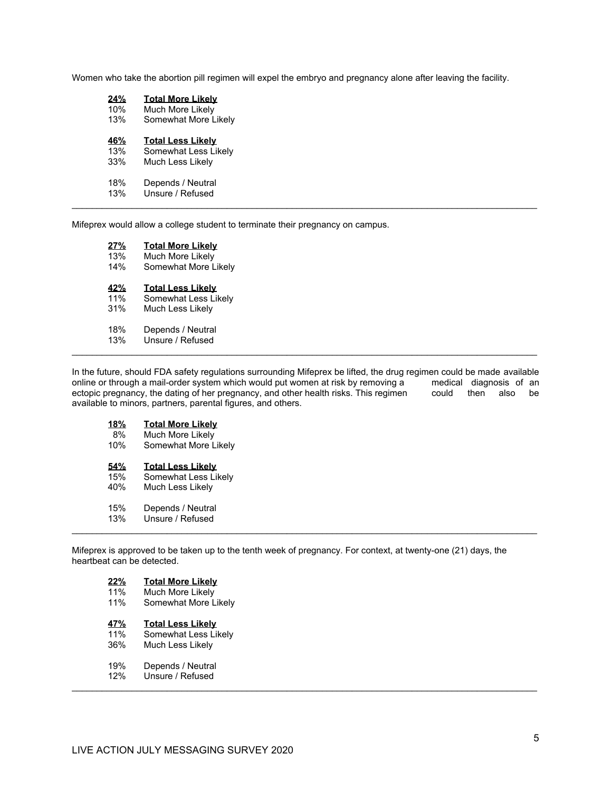Women who take the abortion pill regimen will expel the embryo and pregnancy alone after leaving the facility.

| 24%        | <b>Total More Likely</b> |  |
|------------|--------------------------|--|
| 10%        | Much More Likely         |  |
| 13%        | Somewhat More Likely     |  |
| <b>46%</b> | <b>Total Less Likely</b> |  |
| 13%        | Somewhat Less Likely     |  |
| 33%        | Much Less Likely         |  |
| 18%        | Depends / Neutral        |  |
| 13%        | Unsure / Refused         |  |
|            |                          |  |

Mifeprex would allow a college student to terminate their pregnancy on campus.

| 27%        | <b>Total More Likely</b> |
|------------|--------------------------|
| 13%        | Much More Likely         |
| 14%        | Somewhat More Likely     |
| <u>42%</u> | <b>Total Less Likely</b> |
| 11%        | Somewhat Less Likely     |
| 31%        | Much Less Likely         |
| 18%        | Depends / Neutral        |
| 13%        | Unsure / Refused         |
|            |                          |

In the future, should FDA safety regulations surrounding Mifeprex be lifted, the drug regimen could be made available<br>online or through a mail-order system which would put women at risk by removing a medical diagnosis of a online or through a mail-order system which would put women at risk by removing a medical diagnosis of an ectopic pregnancy, the dating of her pregnancy, and other health risks. This regimen could then also be ectopic pregnancy, the dating of her pregnancy, and other health risks. This regimen available to minors, partners, parental figures, and others.

| <u>18%</u> | <b>Total More Likely</b> |
|------------|--------------------------|
| 8%         | Much More Likely         |
| 10%        | Somewhat More Likely     |
| 54%        | <b>Total Less Likely</b> |
| 15%        | Somewhat Less Likely     |
| 40%        | Much Less Likely         |
| 15%        | Depends / Neutral        |
| 13%        | Unsure / Refused         |

Mifeprex is approved to be taken up to the tenth week of pregnancy. For context, at twenty-one (21) days, the heartbeat can be detected.

| 22%        | <b>Total More Likely</b> |
|------------|--------------------------|
| 11%        | Much More Likely         |
| 11%        | Somewhat More Likely     |
| <u>47%</u> | <b>Total Less Likely</b> |
| 11%        | Somewhat Less Likely     |
| 36%        | Much Less Likely         |
| 19%        | Depends / Neutral        |
| 12%        | Unsure / Refused         |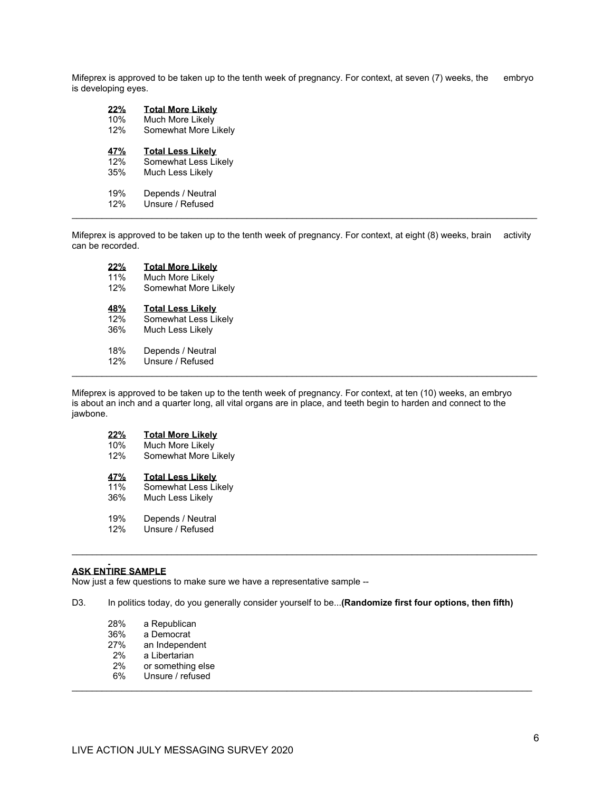Mifeprex is approved to be taken up to the tenth week of pregnancy. For context, at seven (7) weeks, the embryo is developing eyes.

| 22%        | <b>Total More Likely</b> |
|------------|--------------------------|
| 10%        | Much More Likely         |
| 12%        | Somewhat More Likely     |
| <u>47%</u> | <b>Total Less Likely</b> |
| 12%        | Somewhat Less Likely     |
| 35%        | Much Less Likely         |
| 19%        | Depends / Neutral        |
| 12%        | Unsure / Refused         |
|            |                          |

Mifeprex is approved to be taken up to the tenth week of pregnancy. For context, at eight (8) weeks, brain activity can be recorded.

| 22%        | <b>Total More Likely</b> |
|------------|--------------------------|
| 11%        | Much More Likely         |
| 12%        | Somewhat More Likely     |
| <b>48%</b> | <b>Total Less Likely</b> |
| 12%        | Somewhat Less Likely     |
| 36%        | Much Less Likely         |
| 18%        | Depends / Neutral        |
| 12%        | Unsure / Refused         |
|            |                          |

Mifeprex is approved to be taken up to the tenth week of pregnancy. For context, at ten (10) weeks, an embryo is about an inch and a quarter long, all vital organs are in place, and teeth begin to harden and connect to the jawbone.

## **22% Total More Likely**

10% Much More Likely<br>12% Somewhat More L

Somewhat More Likely

# **47% Total Less Likely**

- 11% Somewhat Less Likely<br>36% Much Less Likely
- Much Less Likely
- 19% Depends / Neutral<br>12% Unsure / Refused
- Unsure / Refused

#### **ASK ENTIRE SAMPLE**

Now just a few questions to make sure we have a representative sample --

D3. In politics today, do you generally consider yourself to be...**(Randomize first four options, then fifth)**

\_\_\_\_\_\_\_\_\_\_\_\_\_\_\_\_\_\_\_\_\_\_\_\_\_\_\_\_\_\_\_\_\_\_\_\_\_\_\_\_\_\_\_\_\_\_\_\_\_\_\_\_\_\_\_\_\_\_\_\_\_\_\_\_\_\_\_\_\_\_\_\_\_\_\_\_\_\_\_\_\_\_\_\_\_\_\_\_\_\_\_\_\_

- 28% a Republican<br>36% a Democrat
- 36% a Democrat<br>27% an Independ
- 27% an Independent<br>2% a Libertarian
- 2% a Libertarian<br>2% or something
- 2% or something else<br>6% Unsure / refused
- Unsure / refused \_\_\_\_\_\_\_\_\_\_\_\_\_\_\_\_\_\_\_\_\_\_\_\_\_\_\_\_\_\_\_\_\_\_\_\_\_\_\_\_\_\_\_\_\_\_\_\_\_\_\_\_\_\_\_\_\_\_\_\_\_\_\_\_\_\_\_\_\_\_\_\_\_\_\_\_\_\_\_\_\_\_\_\_\_\_\_\_\_\_\_\_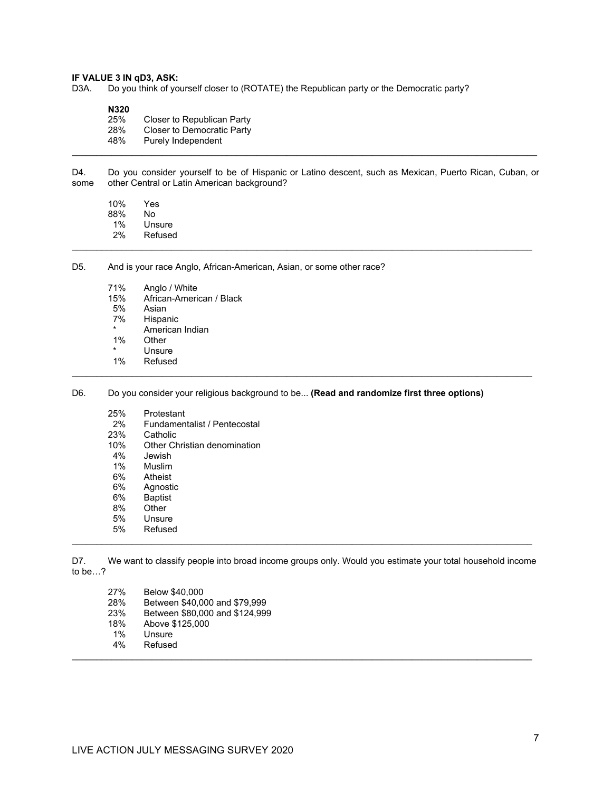# **IF VALUE 3 IN qD3, ASK:**<br>D3A. Do you think of yo

Do you think of yourself closer to (ROTATE) the Republican party or the Democratic party?

**N320**

| 25% | Closer to Republican Party |
|-----|----------------------------|
| 28% | Closer to Democratic Party |
| 48% | Purely Independent         |
|     |                            |

D4. Do you consider yourself to be of Hispanic or Latino descent, such as Mexican, Puerto Rican, Cuban, or some other Central or Latin American background? other Central or Latin American background?

\_\_\_\_\_\_\_\_\_\_\_\_\_\_\_\_\_\_\_\_\_\_\_\_\_\_\_\_\_\_\_\_\_\_\_\_\_\_\_\_\_\_\_\_\_\_\_\_\_\_\_\_\_\_\_\_\_\_\_\_\_\_\_\_\_\_\_\_\_\_\_\_\_\_\_\_\_\_\_\_\_\_\_\_\_\_\_\_\_\_\_\_

10% Yes 88%<br>1% **Unsure** 2% Refused

D5. And is your race Anglo, African-American, Asian, or some other race?

- 71% Anglo / White
- 15% African-American / Black<br>5% Asian
- 5% Asian<br>7% Hispar
- Hispanic
- \* American Indian<br>1% Other
- **Other**
- \* Unsure<br>1% Refused
- **Refused** \_\_\_\_\_\_\_\_\_\_\_\_\_\_\_\_\_\_\_\_\_\_\_\_\_\_\_\_\_\_\_\_\_\_\_\_\_\_\_\_\_\_\_\_\_\_\_\_\_\_\_\_\_\_\_\_\_\_\_\_\_\_\_\_\_\_\_\_\_\_\_\_\_\_\_\_\_\_\_\_\_\_\_\_\_\_\_\_\_\_\_\_
- D6. Do you consider your religious background to be... **(Read and randomize first three options)**
	- 25% Protestant<br>2% Fundamen
	- 2% Fundamentalist / Pentecostal<br>23% Catholic
	- 23% Catholic<br>10% Other Ch
	- 10% Other Christian denomination<br>4% Jewish
	- 4% Jewish
	- 1% Muslim
	- 6% Atheist
	- 6% Agnostic
	- 6% Baptist
	- 8% Other<br>5% Unsure
	- 5% Unsure **Refused**

D7. We want to classify people into broad income groups only. Would you estimate your total household income to be…?

\_\_\_\_\_\_\_\_\_\_\_\_\_\_\_\_\_\_\_\_\_\_\_\_\_\_\_\_\_\_\_\_\_\_\_\_\_\_\_\_\_\_\_\_\_\_\_\_\_\_\_\_\_\_\_\_\_\_\_\_\_\_\_\_\_\_\_\_\_\_\_\_\_\_\_\_\_\_\_\_\_\_\_\_\_\_\_\_\_\_\_\_

| 27% | Below \$40,000                 |
|-----|--------------------------------|
| 28% | Between \$40,000 and \$79,999  |
| 23% | Between \$80,000 and \$124,999 |
| 18% | Above \$125,000                |
| 1%  | Unsure                         |
| 4%  | Refused                        |
|     |                                |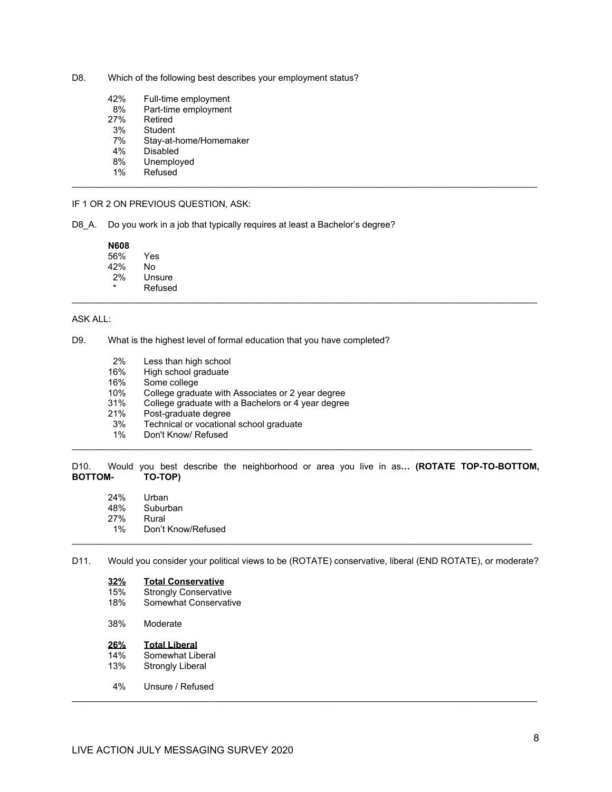- D8. Which of the following best describes your employment status?
	- 42% Full-time employment<br>8% Part-time employment
	- 8% Part-time employment<br>27% Retired
	- 27% Retired<br>3% Student
	- 3% Student<br>7% Stav-at-
	- 7% Stay-at-home/Homemaker<br>4% Disabled
	- 4% Disabled<br>8% Unemplo
	- 8% Unemployed<br>1% Refused
- **Refused** \_\_\_\_\_\_\_\_\_\_\_\_\_\_\_\_\_\_\_\_\_\_\_\_\_\_\_\_\_\_\_\_\_\_\_\_\_\_\_\_\_\_\_\_\_\_\_\_\_\_\_\_\_\_\_\_\_\_\_\_\_\_\_\_\_\_\_\_\_\_\_\_\_\_\_\_\_\_\_\_\_\_\_\_\_\_\_\_\_\_\_\_\_

#### IF 1 OR 2 ON PREVIOUS QUESTION, ASK:

D8\_A. Do you work in a job that typically requires at least a Bachelor's degree?

#### **N608**

- 56% Yes 42% No
- 2% Unsure
- **Refused**

#### ASK ALL:

#### D9. What is the highest level of formal education that you have completed?

- 2% Less than high school
- 16% High school graduate<br>16% Some college
- 16% Some college<br>10% College gradu
- College graduate with Associates or 2 year degree
- 31% College graduate with a Bachelors or 4 year degree
- 21% Post-graduate degree<br>3% Technical or vocationa
- 3% Technical or vocational school graduate<br>1% Don't Know/ Refused
- Don't Know/ Refused

#### D10. Would you best describe the neighborhood or area you live in as**… (ROTATE TOP-TO-BOTTOM, BOTTOM-**

\_\_\_\_\_\_\_\_\_\_\_\_\_\_\_\_\_\_\_\_\_\_\_\_\_\_\_\_\_\_\_\_\_\_\_\_\_\_\_\_\_\_\_\_\_\_\_\_\_\_\_\_\_\_\_\_\_\_\_\_\_\_\_\_\_\_\_\_\_\_\_\_\_\_\_\_\_\_\_\_\_\_\_\_\_\_\_\_\_\_\_\_

\_\_\_\_\_\_\_\_\_\_\_\_\_\_\_\_\_\_\_\_\_\_\_\_\_\_\_\_\_\_\_\_\_\_\_\_\_\_\_\_\_\_\_\_\_\_\_\_\_\_\_\_\_\_\_\_\_\_\_\_\_\_\_\_\_\_\_\_\_\_\_\_\_\_\_\_\_\_\_\_\_\_\_\_\_\_\_\_\_\_\_\_\_

- 24% Urban<br>48% Suburt
- 48% Suburban<br>27% Rural
- 27% Rural<br>1% Don't
- Don't Know/Refused

#### D11. Would you consider your political views to be (ROTATE) conservative, liberal (END ROTATE), or moderate?

\_\_\_\_\_\_\_\_\_\_\_\_\_\_\_\_\_\_\_\_\_\_\_\_\_\_\_\_\_\_\_\_\_\_\_\_\_\_\_\_\_\_\_\_\_\_\_\_\_\_\_\_\_\_\_\_\_\_\_\_\_\_\_\_\_\_\_\_\_\_\_\_\_\_\_\_\_\_\_\_\_\_\_\_\_\_\_\_\_\_\_\_\_

\_\_\_\_\_\_\_\_\_\_\_\_\_\_\_\_\_\_\_\_\_\_\_\_\_\_\_\_\_\_\_\_\_\_\_\_\_\_\_\_\_\_\_\_\_\_\_\_\_\_\_\_\_\_\_\_\_\_\_\_\_\_\_\_\_\_\_\_\_\_\_\_\_\_\_\_\_\_\_\_\_\_\_\_\_\_\_\_\_\_\_\_

### **32% Total Conservative**

- 15% Strongly Conservative<br>18% Somewhat Conservativ
- Somewhat Conservative
- 38% Moderate

## **26% Total Liberal**

- 14% Somewhat Liberal<br>13% Strongly Liberal
- Strongly Liberal
- 4% Unsure / Refused